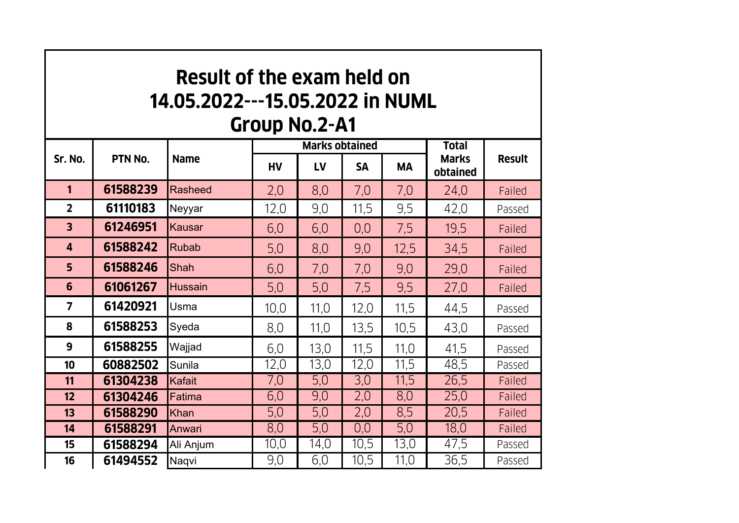## **Result of the exam held on 14.05.2022---15.05.2022 in NUML Group No.2-A1**

| Sr. No.                 | PTN No.  | <b>Name</b>    |           | <b>Marks obtained</b> | <b>Total</b> |           |                          |               |
|-------------------------|----------|----------------|-----------|-----------------------|--------------|-----------|--------------------------|---------------|
|                         |          |                | <b>HV</b> | LV                    | <b>SA</b>    | <b>MA</b> | <b>Marks</b><br>obtained | <b>Result</b> |
| 1                       | 61588239 | <b>Rasheed</b> | 2,0       | 8,0                   | 7,0          | 7,0       | 24,0                     | Failed        |
| $\overline{2}$          | 61110183 | Neyyar         | 12,0      | 9,0                   | 11,5         | 9,5       | 42,0                     | Passed        |
| $\overline{\mathbf{3}}$ | 61246951 | <b>Kausar</b>  | 6,0       | 6,0                   | 0,0          | 7,5       | 19,5                     | Failed        |
| 4                       | 61588242 | <b>Rubab</b>   | 5,0       | 8,0                   | 9,0          | 12,5      | 34,5                     | Failed        |
| 5                       | 61588246 | <b>Shah</b>    | 6,0       | 7,0                   | 7,0          | 9,0       | 29,0                     | Failed        |
| $6\phantom{1}6$         | 61061267 | <b>Hussain</b> | 5,0       | 5,0                   | 7,5          | 9,5       | 27,0                     | Failed        |
| $\overline{7}$          | 61420921 | Usma           | 10,0      | 11,0                  | 12,0         | 11,5      | 44,5                     | Passed        |
| 8                       | 61588253 | Syeda          | 8,0       | 11,0                  | 13,5         | 10,5      | 43,0                     | Passed        |
| 9                       | 61588255 | Wajjad         | 6,0       | 13,0                  | 11,5         | 11,0      | 41,5                     | Passed        |
| 10                      | 60882502 | Sunila         | 12,0      | 13,0                  | 12,0         | 11,5      | 48,5                     | Passed        |
| 11                      | 61304238 | Kafait         | 7,0       | 5,0                   | 3,0          | 11,5      | 26,5                     | Failed        |
| 12                      | 61304246 | Fatima         | 6,0       | 9,0                   | 2,0          | 8,0       | 25,0                     | Failed        |
| 13                      | 61588290 | <b>Khan</b>    | 5,0       | 5,0                   | 2,0          | 8,5       | 20,5                     | Failed        |
| 14                      | 61588291 | Anwari         | 8,0       | 5,0                   | 0,0          | 5,0       | 18,0                     | Failed        |
| 15                      | 61588294 | Ali Anjum      | 10,0      | 14,0                  | 10,5         | 13,0      | 47,5                     | Passed        |
| 16                      | 61494552 | Naqvi          | 9,0       | 6,0                   | 10,5         | 11,0      | 36,5                     | Passed        |